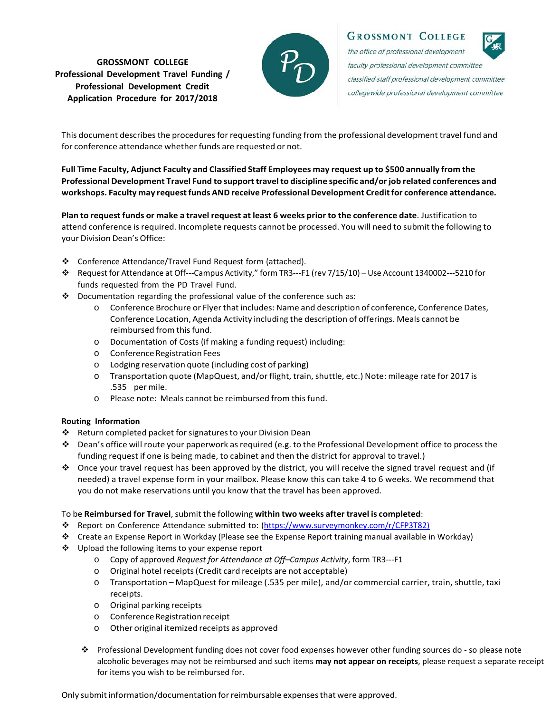## **GROSSMONT COLLEGE Professional Development Travel Funding / Professional Development Credit Application Procedure for 2017/2018**



**GROSSMONT COLLEGE** the office of professional development

faculty professional development committee classified staff professional development committee collegewide professional development committee

This document describes the procedures for requesting funding from the professional development travel fund and for conference attendance whether funds are requested or not.

Full Time Faculty, Adjunct Faculty and Classified Staff Employees may request up to \$500 annually from the **Professional Development Travel Fund to support travel to discipline specific and/or job related conferences and workshops. Faculty may requestfunds AND receive Professional Development Creditfor conference attendance.**

Plan to request funds or make a travel request at least 6 weeks prior to the conference date. Justification to attend conference isrequired. Incomplete requests cannot be processed. You will need to submit the following to your Division Dean's Office:

- Conference Attendance/Travel Fund Request form (attached).
- Request for Attendance at Off---Campus Activity," form TR3---F1 (rev 7/15/10) Use Account 1340002---5210 for funds requested from the PD Travel Fund.
- Documentation regarding the professional value of the conference such as:
	- o Conference Brochure or Flyerthat includes: Name and description of conference, Conference Dates, Conference Location, Agenda Activity including the description of offerings. Meals cannot be reimbursed from this fund.
	- o Documentation of Costs (if making a funding request) including:
	- o ConferenceRegistrationFees
	- o Lodging reservation quote (including cost of parking)
	- o Transportation quote (MapQuest, and/or flight, train,shuttle, etc.) Note: mileage rate for 2017 is .535 per mile.
	- o Please note: Meals cannot be reimbursed from thisfund.

## **Routing Information**

- ❖ Return completed packet for signatures to your Division Dean
- \* Dean's office will route your paperwork as required (e.g. to the Professional Development office to process the funding request if one is being made, to cabinet and then the district for approval to travel.)
- $\bullet$  Once your travel request has been approved by the district, you will receive the signed travel request and (if needed) a travel expense form in your mailbox. Please know this can take 4 to 6 weeks. We recommend that you do not make reservations until you know that the travel has been approved.

## To be **Reimbursed for Travel**,submit the following **within two weeks after travel is completed**:

- \* Report on Conference Attendance submitted to: (https://www.surveymonkey.com/r/CFP3T82)
- Create an Expense Report in Workday (Please see the Expense Report training manual available in Workday)
- ❖ Upload the following items to your expense report
	- o Copy of approved *Request for Attendance at Off–Campus Activity*, form TR3---F1
	- o Original hotel receipts(Credit card receipts are not acceptable)
	- o Transportation MapQuest for mileage (.535 per mile), and/or commercial carrier, train, shuttle, taxi receipts.
	- o Original parking receipts
	- o ConferenceRegistrationreceipt
	- o Other original itemized receipts as approved
	- Professional Development funding does not cover food expenses however other funding sources do so please note alcoholic beverages may not be reimbursed and such items **may not appear on receipts**, please request a separate receipt for items you wish to be reimbursed for.

Only submitinformation/documentation forreimbursable expensesthat were approved.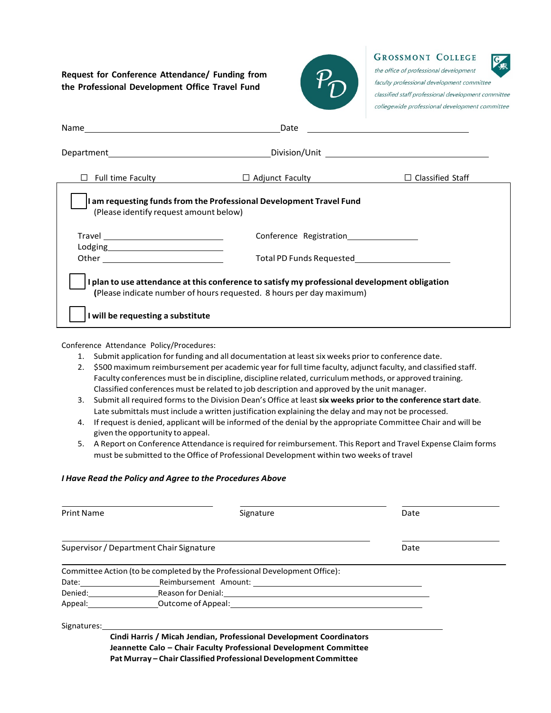**Request for Conference Attendance/ Funding from the Professional Development Office Travel Fund**



**GROSSMONT COLLEGE** 

the office of professional development faculty professional development committee classified staff professional development committee collegewide professional development committee

|                                                                                                                                                                     | Date                                              |                         |
|---------------------------------------------------------------------------------------------------------------------------------------------------------------------|---------------------------------------------------|-------------------------|
|                                                                                                                                                                     |                                                   |                         |
| <b>Full time Faculty</b>                                                                                                                                            | $\Box$ Adjunct Faculty                            | $\Box$ Classified Staff |
| am requesting funds from the Professional Development Travel Fund<br>(Please identify request amount below)                                                         |                                                   |                         |
|                                                                                                                                                                     |                                                   |                         |
|                                                                                                                                                                     | Total PD Funds Requested Total PD Funds Requested |                         |
| plan to use attendance at this conference to satisfy my professional development obligation<br>(Please indicate number of hours requested. 8 hours per day maximum) |                                                   |                         |
| I will be requesting a substitute                                                                                                                                   |                                                   |                         |

Conference Attendance Policy/Procedures:

- 1. Submit application for funding and all documentation at leastsix weeks prior to conference date.
- 2. \$500 maximum reimbursement per academic year for full time faculty, adjunct faculty, and classified staff. Faculty conferences must be in discipline, discipline related, curriculum methods, or approved training. Classified conferences must be related to job description and approved by the unit manager.
- 3. Submit all required formsto the Division Dean's Office at least**six weeks prior to the conference start date**. Late submittals must include a written justification explaining the delay and may not be processed.
- 4. If request is denied, applicant will be informed of the denial by the appropriate Committee Chair and will be given the opportunity to appeal.
- 5. A Report on Conference Attendance is required for reimbursement. This Report and Travel Expense Claim forms must be submitted to the Office of Professional Development within two weeks of travel

## *I Have Read the Policy and Agree to the Procedures Above*

| <b>Print Name</b>                                                                                                                                                                                                              | Signature                                                                                                                                                                                                                      | Date |
|--------------------------------------------------------------------------------------------------------------------------------------------------------------------------------------------------------------------------------|--------------------------------------------------------------------------------------------------------------------------------------------------------------------------------------------------------------------------------|------|
|                                                                                                                                                                                                                                | Supervisor / Department Chair Signature                                                                                                                                                                                        | Date |
|                                                                                                                                                                                                                                | Committee Action (to be completed by the Professional Development Office):                                                                                                                                                     |      |
| Date: the contract of the contract of the contract of the contract of the contract of the contract of the contract of the contract of the contract of the contract of the contract of the contract of the contract of the cont |                                                                                                                                                                                                                                |      |
| Denied: and the state of the state of the state of the state of the state of the state of the state of the state of the state of the state of the state of the state of the state of the state of the state of the state of th |                                                                                                                                                                                                                                |      |
|                                                                                                                                                                                                                                | Appeal: Controller of Appeal: Controller of Appeal: Controller of Appeal: Controller of Appeal: Controller of Appeal: Controller of Appeal: Controller of Appeal: Controller of Appeal: Controller of Appeal: Controller of Ap |      |
| Signatures:                                                                                                                                                                                                                    |                                                                                                                                                                                                                                |      |
|                                                                                                                                                                                                                                | Cindi Harris / Micah Jendian, Professional Development Coordinators<br>Jeannette Calo - Chair Faculty Professional Development Committee                                                                                       |      |

**Pat Murray – Chair Classified Professional Development Committee**